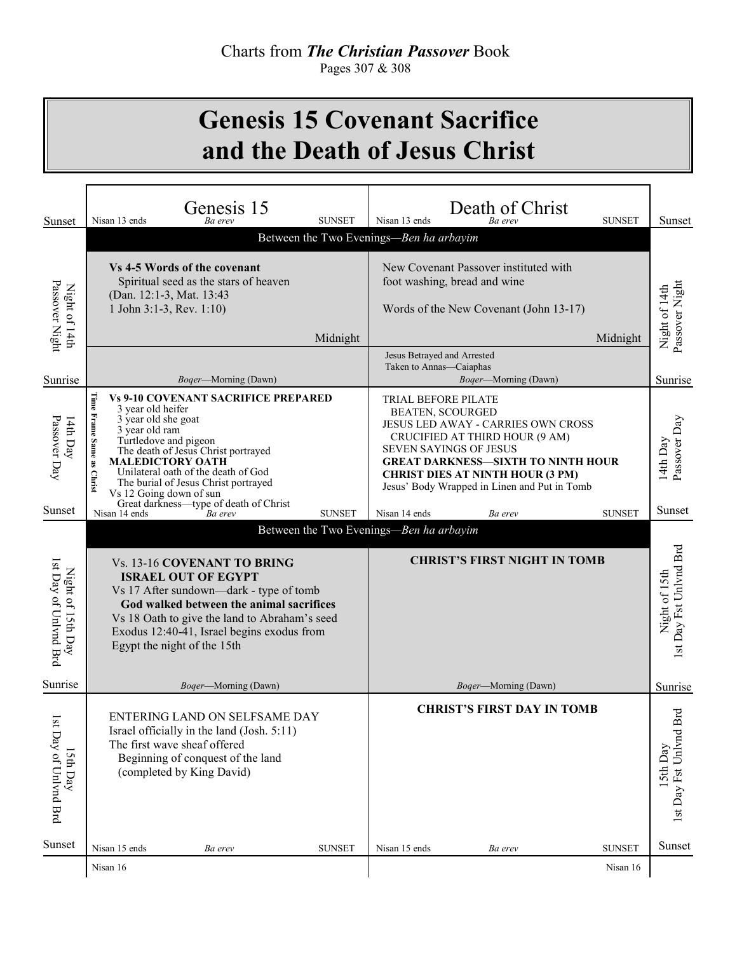Charts from *The Christian Passover* Book

Pages 307 & 308

## **Genesis 15 Covenant Sacrifice and the Death of Jesus Christ**

| Sunset                                     | Nisan 13 ends                                                                                                                               | Genesis 15<br>Ba erev                                                                                                                                                                                                                                                          | <b>SUNSET</b> | Nisan 13 ends                                                                                     | Death of Christ<br>Ba erev                                                                                                                                                                                   | <b>SUNSET</b> | Sunset                                    |
|--------------------------------------------|---------------------------------------------------------------------------------------------------------------------------------------------|--------------------------------------------------------------------------------------------------------------------------------------------------------------------------------------------------------------------------------------------------------------------------------|---------------|---------------------------------------------------------------------------------------------------|--------------------------------------------------------------------------------------------------------------------------------------------------------------------------------------------------------------|---------------|-------------------------------------------|
| Passover Night<br>Night of 14th            |                                                                                                                                             | Vs 4-5 Words of the covenant<br>Spiritual seed as the stars of heaven<br>(Dan. 12:1-3, Mat. 13:43<br>1 John 3:1-3, Rev. 1:10)                                                                                                                                                  | Midnight      | Between the Two Evenings-Ben ha arbayim<br>Jesus Betrayed and Arrested<br>Taken to Annas—Caiaphas | New Covenant Passover instituted with<br>foot washing, bread and wine<br>Words of the New Covenant (John 13-17)                                                                                              | Midnight      | Passover Night<br>Night of 14th           |
| Sunrise                                    |                                                                                                                                             | <i>Boqer</i> —Morning (Dawn)                                                                                                                                                                                                                                                   |               |                                                                                                   | <i>Boqer</i> —Morning (Dawn)                                                                                                                                                                                 |               | Sunrise                                   |
| Passover Day<br>14th Day                   | Time Frame Same as Christ<br>3 year old heifer<br>3 year old she goat<br>3 year old ram<br>Turtledove and pigeon<br>Vs 12 Going down of sun | <b>Vs 9-10 COVENANT SACRIFICE PREPARED</b><br>The death of Jesus Christ portrayed<br><b>MALEDICTORY OATH</b><br>Unilateral oath of the death of God<br>The burial of Jesus Christ portrayed                                                                                    |               | <b>TRIAL BEFORE PILATE</b><br><b>BEATEN, SCOURGED</b><br>SEVEN SAYINGS OF JESUS                   | JESUS LED AWAY - CARRIES OWN CROSS<br>CRUCIFIED AT THIRD HOUR (9 AM)<br><b>GREAT DARKNESS-SIXTH TO NINTH HOUR</b><br><b>CHRIST DIES AT NINTH HOUR (3 PM)</b><br>Jesus' Body Wrapped in Linen and Put in Tomb |               | Passover Day<br>14th Day                  |
| Sunset                                     | Nisan 14 ends                                                                                                                               | Great darkness—type of death of Christ<br>Ba erev                                                                                                                                                                                                                              | <b>SUNSET</b> | Nisan 14 ends                                                                                     | Ba erev                                                                                                                                                                                                      | <b>SUNSET</b> | Sunset                                    |
|                                            |                                                                                                                                             |                                                                                                                                                                                                                                                                                |               | Between the Two Evenings-Ben ha arbayim                                                           |                                                                                                                                                                                                              |               |                                           |
| 1st Day of Unlynd Brd<br>Night of 15th Day |                                                                                                                                             | Vs. 13-16 COVENANT TO BRING<br><b>ISRAEL OUT OF EGYPT</b><br>Vs 17 After sundown—dark - type of tomb<br>God walked between the animal sacrifices<br>Vs 18 Oath to give the land to Abraham's seed<br>Exodus 12:40-41, Israel begins exodus from<br>Egypt the night of the 15th |               |                                                                                                   | <b>CHRIST'S FIRST NIGHT IN TOMB</b>                                                                                                                                                                          |               | 1st Day Fst Unlynd Brd<br>Night of 15th   |
| Sunrise                                    |                                                                                                                                             | <i>Boger</i> —Morning (Dawn)                                                                                                                                                                                                                                                   |               |                                                                                                   | Boger-Morning (Dawn)                                                                                                                                                                                         |               | Sunrise                                   |
| st Day of Unlynd Brd<br>15th Day           |                                                                                                                                             | ENTERING LAND ON SELFSAME DAY<br>Israel officially in the land (Josh. 5:11)<br>The first wave sheaf offered<br>Beginning of conquest of the land<br>(completed by King David)                                                                                                  |               |                                                                                                   | <b>CHRIST'S FIRST DAY IN TOMB</b>                                                                                                                                                                            |               | st Day Fst Univnd Brd<br><b>I</b> Sth Day |
| Sunset                                     | Nisan 15 ends                                                                                                                               | Ba erev                                                                                                                                                                                                                                                                        | <b>SUNSET</b> | Nisan 15 ends                                                                                     | Ba erev                                                                                                                                                                                                      | <b>SUNSET</b> | Sunset                                    |
|                                            | Nisan 16                                                                                                                                    |                                                                                                                                                                                                                                                                                |               |                                                                                                   |                                                                                                                                                                                                              | Nisan 16      |                                           |